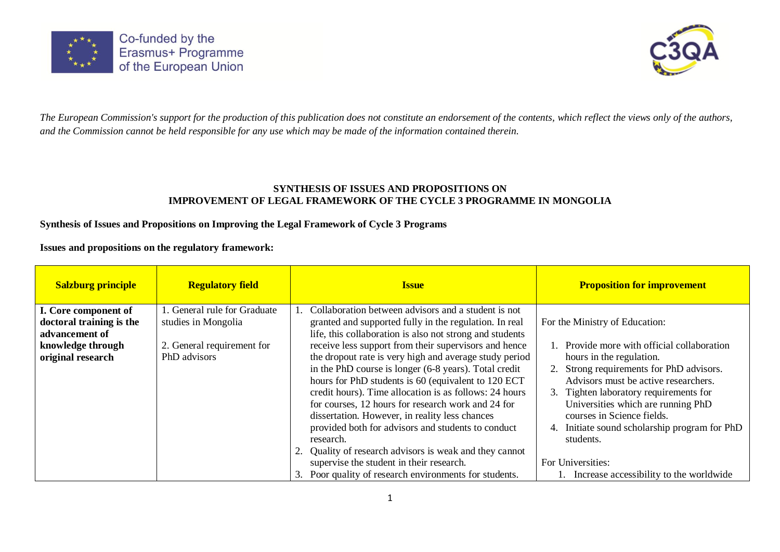



*The European Commission's support for the production of this publication does not constitute an endorsement of the contents, which reflect the views only of the authors, and the Commission cannot be held responsible for any use which may be made of the information contained therein.*

### **SYNTHESIS OF ISSUES AND PROPOSITIONS ON IMPROVEMENT OF LEGAL FRAMEWORK OF THE CYCLE 3 PROGRAMME IN MONGOLIA**

### **Synthesis of Issues and Propositions on Improving the Legal Framework of Cycle 3 Programs**

**Issues and propositions on the regulatory framework:**

| <b>Salzburg principle</b>              | <b>Regulatory field</b>                    | <b>Issue</b>                                                                                                                                                                                                                                                                                                                                                                                                | <b>Proposition for improvement</b>                                                                                                                                                                                                                                                    |
|----------------------------------------|--------------------------------------------|-------------------------------------------------------------------------------------------------------------------------------------------------------------------------------------------------------------------------------------------------------------------------------------------------------------------------------------------------------------------------------------------------------------|---------------------------------------------------------------------------------------------------------------------------------------------------------------------------------------------------------------------------------------------------------------------------------------|
| I. Core component of                   | . General rule for Graduate                | Collaboration between advisors and a student is not                                                                                                                                                                                                                                                                                                                                                         |                                                                                                                                                                                                                                                                                       |
| doctoral training is the               | studies in Mongolia                        | granted and supported fully in the regulation. In real                                                                                                                                                                                                                                                                                                                                                      | For the Ministry of Education:                                                                                                                                                                                                                                                        |
| advancement of                         |                                            | life, this collaboration is also not strong and students                                                                                                                                                                                                                                                                                                                                                    |                                                                                                                                                                                                                                                                                       |
| knowledge through<br>original research | 2. General requirement for<br>PhD advisors | receive less support from their supervisors and hence                                                                                                                                                                                                                                                                                                                                                       | 1. Provide more with official collaboration                                                                                                                                                                                                                                           |
|                                        |                                            | the dropout rate is very high and average study period<br>in the PhD course is longer (6-8 years). Total credit<br>hours for PhD students is 60 (equivalent to 120 ECT<br>credit hours). Time allocation is as follows: 24 hours<br>for courses, 12 hours for research work and 24 for<br>dissertation. However, in reality less chances<br>provided both for advisors and students to conduct<br>research. | hours in the regulation.<br>2. Strong requirements for PhD advisors.<br>Advisors must be active researchers.<br>3. Tighten laboratory requirements for<br>Universities which are running PhD<br>courses in Science fields.<br>Initiate sound scholarship program for PhD<br>students. |
|                                        |                                            | Quality of research advisors is weak and they cannot<br>supervise the student in their research.                                                                                                                                                                                                                                                                                                            | For Universities:                                                                                                                                                                                                                                                                     |
|                                        |                                            | Poor quality of research environments for students.<br>3.                                                                                                                                                                                                                                                                                                                                                   | 1. Increase accessibility to the worldwide                                                                                                                                                                                                                                            |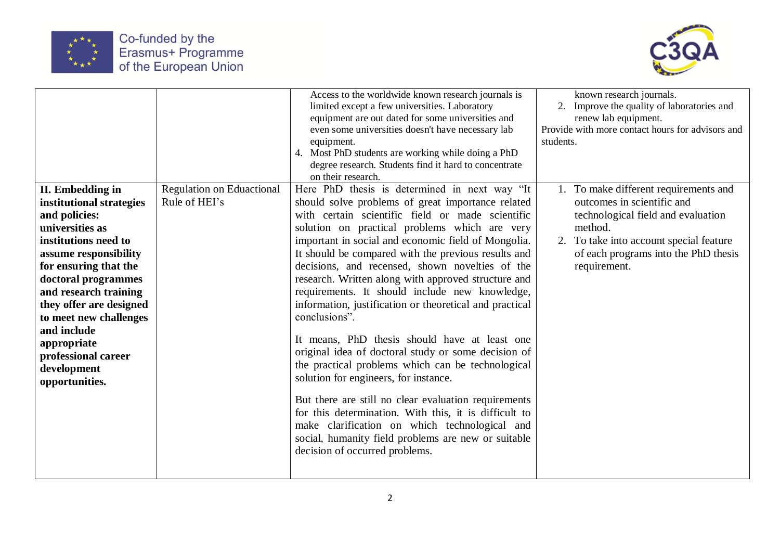



|                                                                                                                                                                                                                                                                                                                                                       |                                                   | Access to the worldwide known research journals is<br>limited except a few universities. Laboratory<br>equipment are out dated for some universities and<br>even some universities doesn't have necessary lab<br>equipment.<br>4. Most PhD students are working while doing a PhD<br>degree research. Students find it hard to concentrate<br>on their research.                                                                                                                                                                                                                                                                                                                                                                                                                                                                                                                                                                                                                                                               | known research journals.<br>2. Improve the quality of laboratories and<br>renew lab equipment.<br>Provide with more contact hours for advisors and<br>students.                                                         |
|-------------------------------------------------------------------------------------------------------------------------------------------------------------------------------------------------------------------------------------------------------------------------------------------------------------------------------------------------------|---------------------------------------------------|--------------------------------------------------------------------------------------------------------------------------------------------------------------------------------------------------------------------------------------------------------------------------------------------------------------------------------------------------------------------------------------------------------------------------------------------------------------------------------------------------------------------------------------------------------------------------------------------------------------------------------------------------------------------------------------------------------------------------------------------------------------------------------------------------------------------------------------------------------------------------------------------------------------------------------------------------------------------------------------------------------------------------------|-------------------------------------------------------------------------------------------------------------------------------------------------------------------------------------------------------------------------|
| II. Embedding in<br>institutional strategies<br>and policies:<br>universities as<br>institutions need to<br>assume responsibility<br>for ensuring that the<br>doctoral programmes<br>and research training<br>they offer are designed<br>to meet new challenges<br>and include<br>appropriate<br>professional career<br>development<br>opportunities. | <b>Regulation on Eduactional</b><br>Rule of HEI's | Here PhD thesis is determined in next way "It<br>should solve problems of great importance related<br>with certain scientific field or made scientific<br>solution on practical problems which are very<br>important in social and economic field of Mongolia.<br>It should be compared with the previous results and<br>decisions, and recensed, shown novelties of the<br>research. Written along with approved structure and<br>requirements. It should include new knowledge,<br>information, justification or theoretical and practical<br>conclusions".<br>It means, PhD thesis should have at least one<br>original idea of doctoral study or some decision of<br>the practical problems which can be technological<br>solution for engineers, for instance.<br>But there are still no clear evaluation requirements<br>for this determination. With this, it is difficult to<br>make clarification on which technological and<br>social, humanity field problems are new or suitable<br>decision of occurred problems. | 1. To make different requirements and<br>outcomes in scientific and<br>technological field and evaluation<br>method.<br>2. To take into account special feature<br>of each programs into the PhD thesis<br>requirement. |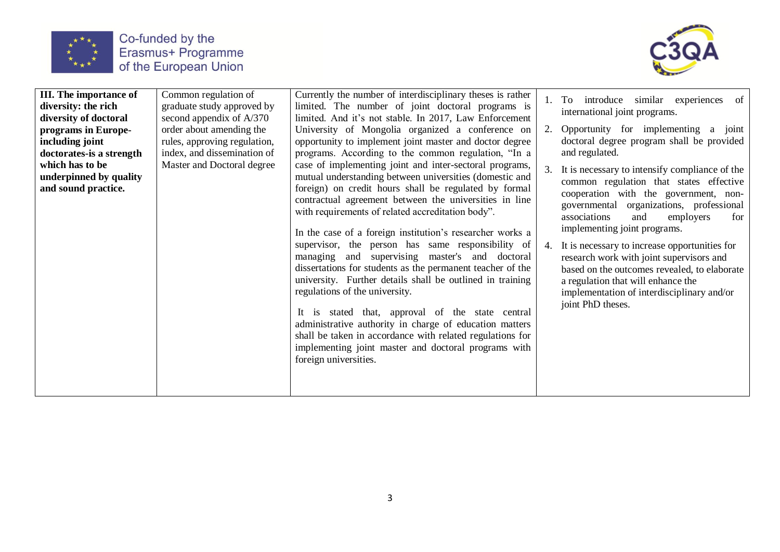



| <b>III.</b> The importance of<br>diversity: the rich<br>diversity of doctoral | Common regulation of<br>graduate study approved by<br>second appendix of $A/370$        | Currently the number of interdisciplinary theses is rather<br>limited. The number of joint doctoral programs is<br>limited. And it's not stable. In 2017, Law Enforcement                                                                                                                                                                                                                                                                                                                                                                                                                                                                                                                                                                                                                                                                                                                |    | 1. To introduce similar experiences of<br>international joint programs.                                                                                                                                                                                                                                                                                                                                                                                                                                            |
|-------------------------------------------------------------------------------|-----------------------------------------------------------------------------------------|------------------------------------------------------------------------------------------------------------------------------------------------------------------------------------------------------------------------------------------------------------------------------------------------------------------------------------------------------------------------------------------------------------------------------------------------------------------------------------------------------------------------------------------------------------------------------------------------------------------------------------------------------------------------------------------------------------------------------------------------------------------------------------------------------------------------------------------------------------------------------------------|----|--------------------------------------------------------------------------------------------------------------------------------------------------------------------------------------------------------------------------------------------------------------------------------------------------------------------------------------------------------------------------------------------------------------------------------------------------------------------------------------------------------------------|
| programs in Europe-<br>including joint<br>doctorates-is a strength            | order about amending the<br>rules, approving regulation,<br>index, and dissemination of | University of Mongolia organized a conference on<br>opportunity to implement joint master and doctor degree<br>programs. According to the common regulation, "In a                                                                                                                                                                                                                                                                                                                                                                                                                                                                                                                                                                                                                                                                                                                       | 2. | Opportunity for implementing a joint<br>doctoral degree program shall be provided<br>and regulated.                                                                                                                                                                                                                                                                                                                                                                                                                |
| which has to be<br>underpinned by quality<br>and sound practice.              | Master and Doctoral degree                                                              | case of implementing joint and inter-sectoral programs,<br>mutual understanding between universities (domestic and<br>foreign) on credit hours shall be regulated by formal<br>contractual agreement between the universities in line<br>with requirements of related accreditation body".<br>In the case of a foreign institution's researcher works a<br>supervisor, the person has same responsibility of<br>managing and supervising master's and doctoral<br>dissertations for students as the permanent teacher of the<br>university. Further details shall be outlined in training<br>regulations of the university.<br>It is stated that, approval of the state central<br>administrative authority in charge of education matters<br>shall be taken in accordance with related regulations for<br>implementing joint master and doctoral programs with<br>foreign universities. |    | It is necessary to intensify compliance of the<br>common regulation that states effective<br>cooperation with the government, non-<br>governmental organizations, professional<br>associations<br>and<br>employers<br>for<br>implementing joint programs.<br>4. It is necessary to increase opportunities for<br>research work with joint supervisors and<br>based on the outcomes revealed, to elaborate<br>a regulation that will enhance the<br>implementation of interdisciplinary and/or<br>joint PhD theses. |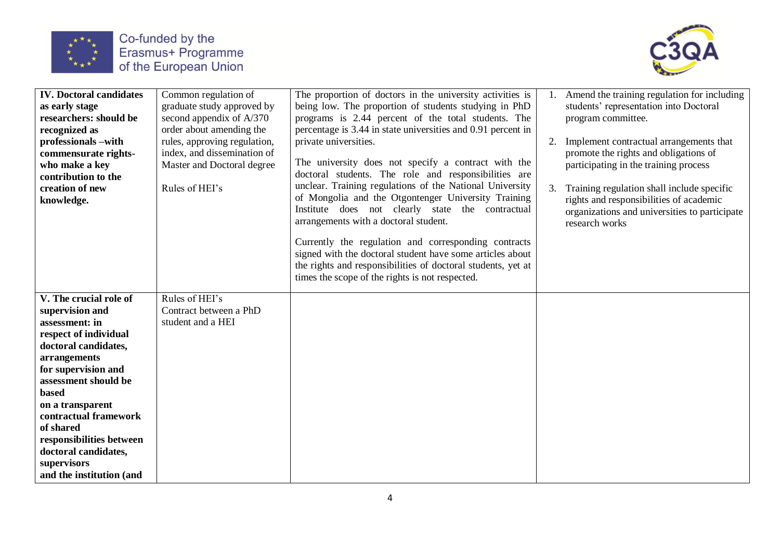



| <b>IV.</b> Doctoral candidates<br>as early stage<br>researchers: should be<br>recognized as<br>professionals -with<br>commensurate rights-<br>who make a key<br>contribution to the<br>creation of new<br>knowledge.                                                                                                                          | Common regulation of<br>graduate study approved by<br>second appendix of A/370<br>order about amending the<br>rules, approving regulation,<br>index, and dissemination of<br>Master and Doctoral degree<br>Rules of HEI's | The proportion of doctors in the university activities is<br>being low. The proportion of students studying in PhD<br>programs is 2.44 percent of the total students. The<br>percentage is 3.44 in state universities and 0.91 percent in<br>private universities.<br>The university does not specify a contract with the<br>doctoral students. The role and responsibilities are<br>unclear. Training regulations of the National University<br>of Mongolia and the Otgontenger University Training<br>Institute does not clearly state the contractual<br>arrangements with a doctoral student.<br>Currently the regulation and corresponding contracts<br>signed with the doctoral student have some articles about<br>the rights and responsibilities of doctoral students, yet at<br>times the scope of the rights is not respected. | 2.<br>3. | Amend the training regulation for including<br>students' representation into Doctoral<br>program committee.<br>Implement contractual arrangements that<br>promote the rights and obligations of<br>participating in the training process<br>Training regulation shall include specific<br>rights and responsibilities of academic<br>organizations and universities to participate<br>research works |
|-----------------------------------------------------------------------------------------------------------------------------------------------------------------------------------------------------------------------------------------------------------------------------------------------------------------------------------------------|---------------------------------------------------------------------------------------------------------------------------------------------------------------------------------------------------------------------------|-------------------------------------------------------------------------------------------------------------------------------------------------------------------------------------------------------------------------------------------------------------------------------------------------------------------------------------------------------------------------------------------------------------------------------------------------------------------------------------------------------------------------------------------------------------------------------------------------------------------------------------------------------------------------------------------------------------------------------------------------------------------------------------------------------------------------------------------|----------|------------------------------------------------------------------------------------------------------------------------------------------------------------------------------------------------------------------------------------------------------------------------------------------------------------------------------------------------------------------------------------------------------|
| V. The crucial role of<br>supervision and<br>assessment: in<br>respect of individual<br>doctoral candidates,<br>arrangements<br>for supervision and<br>assessment should be<br>based<br>on a transparent<br>contractual framework<br>of shared<br>responsibilities between<br>doctoral candidates,<br>supervisors<br>and the institution (and | Rules of HEI's<br>Contract between a PhD<br>student and a HEI                                                                                                                                                             |                                                                                                                                                                                                                                                                                                                                                                                                                                                                                                                                                                                                                                                                                                                                                                                                                                           |          |                                                                                                                                                                                                                                                                                                                                                                                                      |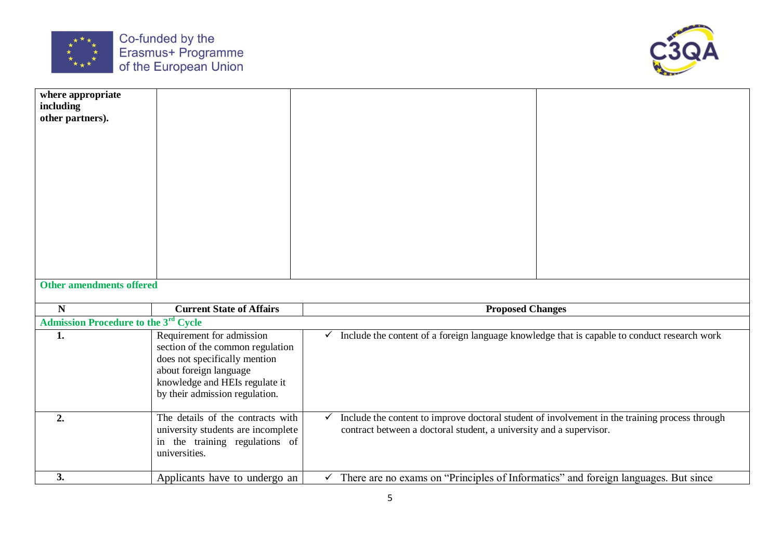



| where appropriate                                |                                                          |              |                                                                                                |  |
|--------------------------------------------------|----------------------------------------------------------|--------------|------------------------------------------------------------------------------------------------|--|
| including<br>other partners).                    |                                                          |              |                                                                                                |  |
|                                                  |                                                          |              |                                                                                                |  |
|                                                  |                                                          |              |                                                                                                |  |
|                                                  |                                                          |              |                                                                                                |  |
|                                                  |                                                          |              |                                                                                                |  |
|                                                  |                                                          |              |                                                                                                |  |
|                                                  |                                                          |              |                                                                                                |  |
|                                                  |                                                          |              |                                                                                                |  |
|                                                  |                                                          |              |                                                                                                |  |
|                                                  |                                                          |              |                                                                                                |  |
|                                                  |                                                          |              |                                                                                                |  |
|                                                  |                                                          |              |                                                                                                |  |
|                                                  |                                                          |              |                                                                                                |  |
| <b>Other amendments offered</b>                  |                                                          |              |                                                                                                |  |
| $\mathbf N$                                      | <b>Current State of Affairs</b>                          |              | <b>Proposed Changes</b>                                                                        |  |
| Admission Procedure to the 3 <sup>rd</sup> Cycle |                                                          |              |                                                                                                |  |
| 1.                                               | Requirement for admission                                | ✓            | Include the content of a foreign language knowledge that is capable to conduct research work   |  |
|                                                  | section of the common regulation                         |              |                                                                                                |  |
|                                                  | does not specifically mention                            |              |                                                                                                |  |
|                                                  | about foreign language<br>knowledge and HEIs regulate it |              |                                                                                                |  |
|                                                  | by their admission regulation.                           |              |                                                                                                |  |
|                                                  |                                                          |              |                                                                                                |  |
| 2.                                               | The details of the contracts with                        | $\checkmark$ | Include the content to improve doctoral student of involvement in the training process through |  |
|                                                  | university students are incomplete                       |              | contract between a doctoral student, a university and a supervisor.                            |  |
|                                                  | in the training regulations of                           |              |                                                                                                |  |
|                                                  | universities.                                            |              |                                                                                                |  |
| 3.                                               | Applicants have to undergo an                            | $\checkmark$ | There are no exams on "Principles of Informatics" and foreign languages. But since             |  |
|                                                  |                                                          |              |                                                                                                |  |